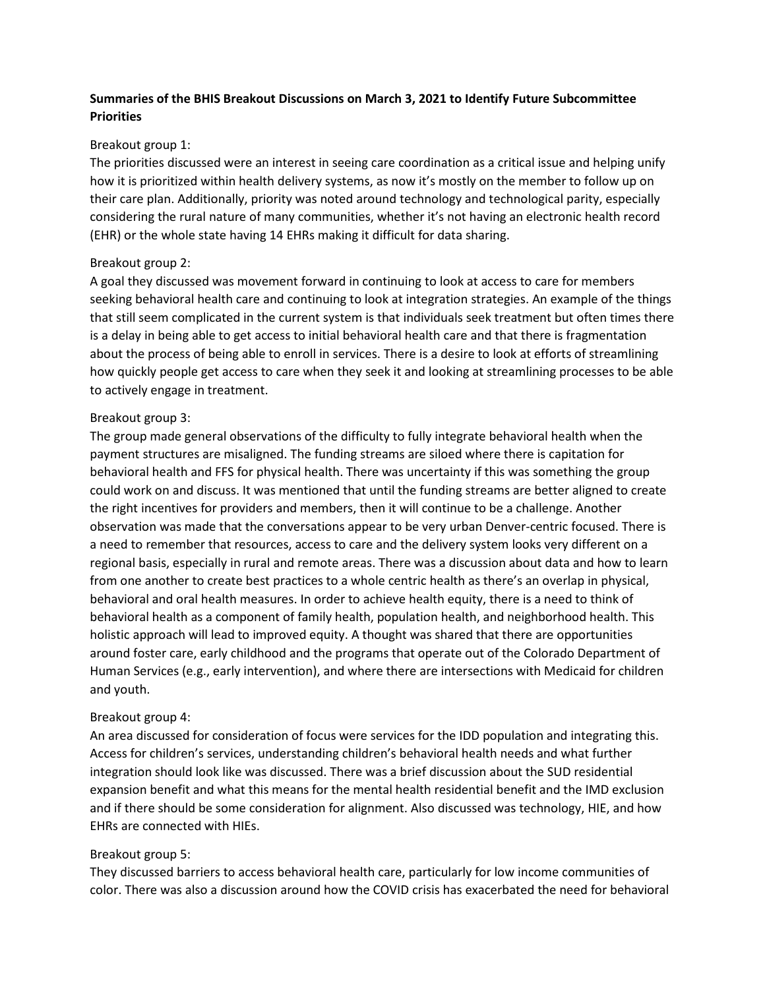# **Summaries of the BHIS Breakout Discussions on March 3, 2021 to Identify Future Subcommittee Priorities**

### Breakout group 1:

The priorities discussed were an interest in seeing care coordination as a critical issue and helping unify how it is prioritized within health delivery systems, as now it's mostly on the member to follow up on their care plan. Additionally, priority was noted around technology and technological parity, especially considering the rural nature of many communities, whether it's not having an electronic health record (EHR) or the whole state having 14 EHRs making it difficult for data sharing.

## Breakout group 2:

A goal they discussed was movement forward in continuing to look at access to care for members seeking behavioral health care and continuing to look at integration strategies. An example of the things that still seem complicated in the current system is that individuals seek treatment but often times there is a delay in being able to get access to initial behavioral health care and that there is fragmentation about the process of being able to enroll in services. There is a desire to look at efforts of streamlining how quickly people get access to care when they seek it and looking at streamlining processes to be able to actively engage in treatment.

## Breakout group 3:

The group made general observations of the difficulty to fully integrate behavioral health when the payment structures are misaligned. The funding streams are siloed where there is capitation for behavioral health and FFS for physical health. There was uncertainty if this was something the group could work on and discuss. It was mentioned that until the funding streams are better aligned to create the right incentives for providers and members, then it will continue to be a challenge. Another observation was made that the conversations appear to be very urban Denver-centric focused. There is a need to remember that resources, access to care and the delivery system looks very different on a regional basis, especially in rural and remote areas. There was a discussion about data and how to learn from one another to create best practices to a whole centric health as there's an overlap in physical, behavioral and oral health measures. In order to achieve health equity, there is a need to think of behavioral health as a component of family health, population health, and neighborhood health. This holistic approach will lead to improved equity. A thought was shared that there are opportunities around foster care, early childhood and the programs that operate out of the Colorado Department of Human Services (e.g., early intervention), and where there are intersections with Medicaid for children and youth.

## Breakout group 4:

An area discussed for consideration of focus were services for the IDD population and integrating this. Access for children's services, understanding children's behavioral health needs and what further integration should look like was discussed. There was a brief discussion about the SUD residential expansion benefit and what this means for the mental health residential benefit and the IMD exclusion and if there should be some consideration for alignment. Also discussed was technology, HIE, and how EHRs are connected with HIEs.

### Breakout group 5:

They discussed barriers to access behavioral health care, particularly for low income communities of color. There was also a discussion around how the COVID crisis has exacerbated the need for behavioral